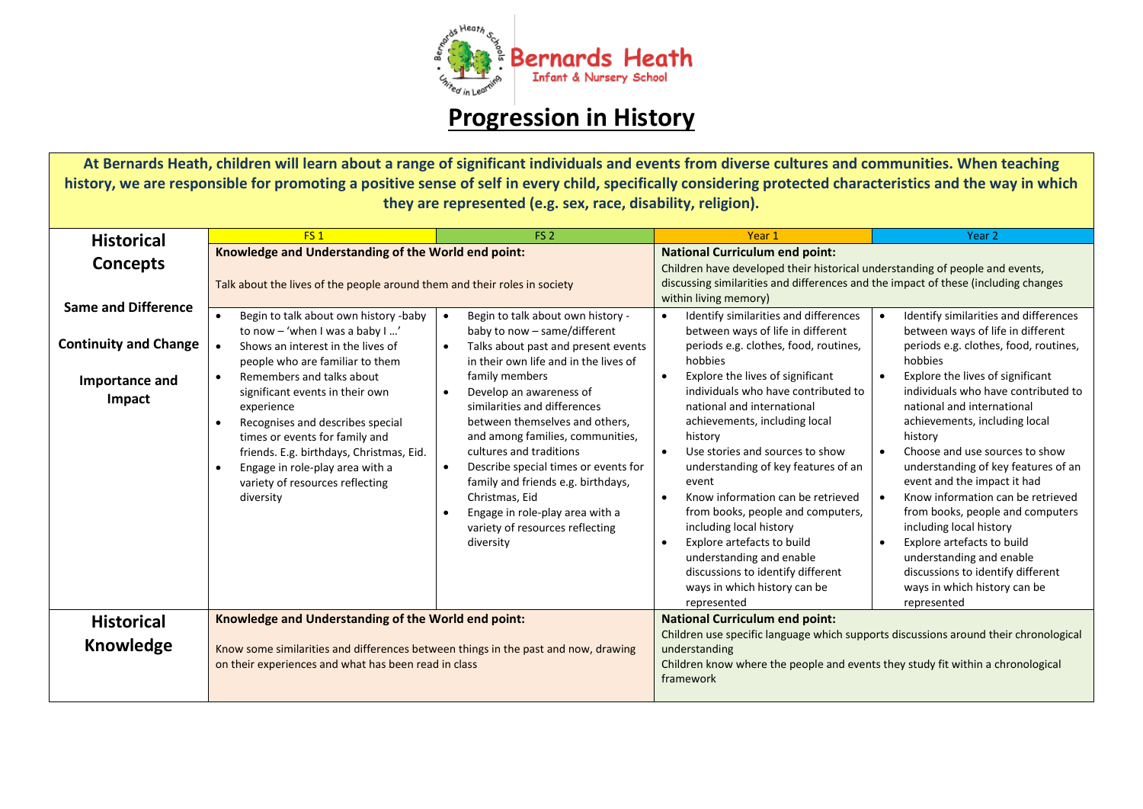

## **Progression in History**

**At Bernards Heath, children will learn about a range of significant individuals and events from diverse cultures and communities. When teaching history, we are responsible for promoting a positive sense of self in every child, specifically considering protected characteristics and the way in which they are represented (e.g. sex, race, disability, religion).**

| <b>Historical</b>                                          | FS <sub>1</sub>                                                                                                                                                                                                                                                                              | FS <sub>2</sub>                                                                                                                                                                                                                                                                                                                                                                                      | Year 1                                                                                                                                                                                                                                                                                                                                                                                                                                                                                                                                      | Year <sub>2</sub>                                                                                                                                                                                                                                                                                                                                                                                                                                                                                                                                  |
|------------------------------------------------------------|----------------------------------------------------------------------------------------------------------------------------------------------------------------------------------------------------------------------------------------------------------------------------------------------|------------------------------------------------------------------------------------------------------------------------------------------------------------------------------------------------------------------------------------------------------------------------------------------------------------------------------------------------------------------------------------------------------|---------------------------------------------------------------------------------------------------------------------------------------------------------------------------------------------------------------------------------------------------------------------------------------------------------------------------------------------------------------------------------------------------------------------------------------------------------------------------------------------------------------------------------------------|----------------------------------------------------------------------------------------------------------------------------------------------------------------------------------------------------------------------------------------------------------------------------------------------------------------------------------------------------------------------------------------------------------------------------------------------------------------------------------------------------------------------------------------------------|
| Concepts                                                   | Knowledge and Understanding of the World end point:<br>Talk about the lives of the people around them and their roles in society                                                                                                                                                             |                                                                                                                                                                                                                                                                                                                                                                                                      | <b>National Curriculum end point:</b><br>Children have developed their historical understanding of people and events,<br>discussing similarities and differences and the impact of these (including changes<br>within living memory)                                                                                                                                                                                                                                                                                                        |                                                                                                                                                                                                                                                                                                                                                                                                                                                                                                                                                    |
| <b>Same and Difference</b><br><b>Continuity and Change</b> | Begin to talk about own history -baby<br>$\bullet$<br>to now - 'when I was a baby I '<br>Shows an interest in the lives of<br>$\bullet$<br>people who are familiar to them                                                                                                                   | Begin to talk about own history -<br>$\bullet$<br>baby to now - same/different<br>Talks about past and present events<br>$\bullet$<br>in their own life and in the lives of                                                                                                                                                                                                                          | Identify similarities and differences<br>$\bullet$<br>between ways of life in different<br>periods e.g. clothes, food, routines,<br>hobbies                                                                                                                                                                                                                                                                                                                                                                                                 | Identify similarities and differences<br>$\bullet$<br>between ways of life in different<br>periods e.g. clothes, food, routines,<br>hobbies                                                                                                                                                                                                                                                                                                                                                                                                        |
| Importance and<br>Impact                                   | Remembers and talks about<br>$\bullet$<br>significant events in their own<br>experience<br>Recognises and describes special<br>times or events for family and<br>friends. E.g. birthdays, Christmas, Eid.<br>Engage in role-play area with a<br>variety of resources reflecting<br>diversity | family members<br>Develop an awareness of<br>$\bullet$<br>similarities and differences<br>between themselves and others,<br>and among families, communities,<br>cultures and traditions<br>Describe special times or events for<br>$\bullet$<br>family and friends e.g. birthdays,<br>Christmas, Eid<br>Engage in role-play area with a<br>$\bullet$<br>variety of resources reflecting<br>diversity | Explore the lives of significant<br>$\bullet$<br>individuals who have contributed to<br>national and international<br>achievements, including local<br>history<br>Use stories and sources to show<br>$\bullet$<br>understanding of key features of an<br>event<br>Know information can be retrieved<br>$\bullet$<br>from books, people and computers,<br>including local history<br>Explore artefacts to build<br>$\bullet$<br>understanding and enable<br>discussions to identify different<br>ways in which history can be<br>represented | Explore the lives of significant<br>individuals who have contributed to<br>national and international<br>achievements, including local<br>history<br>Choose and use sources to show<br>$\bullet$<br>understanding of key features of an<br>event and the impact it had<br>Know information can be retrieved<br>$\bullet$<br>from books, people and computers<br>including local history<br>Explore artefacts to build<br>$\bullet$<br>understanding and enable<br>discussions to identify different<br>ways in which history can be<br>represented |
| <b>Historical</b>                                          | Knowledge and Understanding of the World end point:                                                                                                                                                                                                                                          |                                                                                                                                                                                                                                                                                                                                                                                                      | <b>National Curriculum end point:</b>                                                                                                                                                                                                                                                                                                                                                                                                                                                                                                       |                                                                                                                                                                                                                                                                                                                                                                                                                                                                                                                                                    |
| Knowledge                                                  | Know some similarities and differences between things in the past and now, drawing<br>on their experiences and what has been read in class                                                                                                                                                   |                                                                                                                                                                                                                                                                                                                                                                                                      | Children use specific language which supports discussions around their chronological<br>understanding<br>Children know where the people and events they study fit within a chronological<br>framework                                                                                                                                                                                                                                                                                                                                       |                                                                                                                                                                                                                                                                                                                                                                                                                                                                                                                                                    |